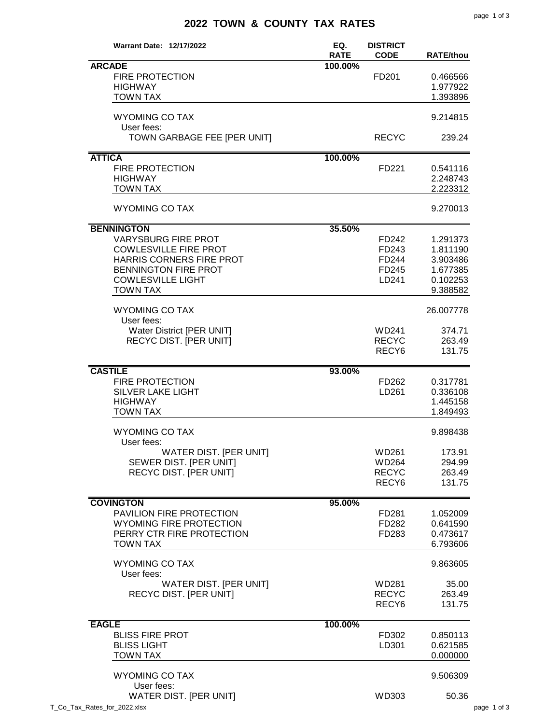## **2022 TOWN & COUNTY TAX RATES**

| <b>Warrant Date: 12/17/2022</b> | EQ.<br><b>RATE</b> | <b>DISTRICT</b><br><b>CODE</b> | <b>RATE/thou</b> |
|---------------------------------|--------------------|--------------------------------|------------------|
| <b>ARCADE</b>                   | 100.00%            |                                |                  |
| FIRE PROTECTION                 |                    | FD201                          | 0.466566         |
| <b>HIGHWAY</b>                  |                    |                                | 1.977922         |
| <b>TOWN TAX</b>                 |                    |                                | 1.393896         |
|                                 |                    |                                |                  |
| <b>WYOMING CO TAX</b>           |                    |                                | 9.214815         |
| User fees:                      |                    |                                |                  |
| TOWN GARBAGE FEE [PER UNIT]     |                    | <b>RECYC</b>                   | 239.24           |
| <b>ATTICA</b>                   | 100.00%            |                                |                  |
| <b>FIRE PROTECTION</b>          |                    | FD221                          | 0.541116         |
| <b>HIGHWAY</b>                  |                    |                                | 2.248743         |
| <b>TOWN TAX</b>                 |                    |                                | 2.223312         |
| <b>WYOMING CO TAX</b>           |                    |                                | 9.270013         |
|                                 |                    |                                |                  |
| <b>BENNINGTON</b>               | 35.50%             |                                |                  |
| <b>VARYSBURG FIRE PROT</b>      |                    | FD242                          | 1.291373         |
| <b>COWLESVILLE FIRE PROT</b>    |                    | FD243                          | 1.811190         |
| HARRIS CORNERS FIRE PROT        |                    | FD244                          | 3.903486         |
| <b>BENNINGTON FIRE PROT</b>     |                    | FD245                          | 1.677385         |
| <b>COWLESVILLE LIGHT</b>        |                    | LD241                          | 0.102253         |
| <b>TOWN TAX</b>                 |                    |                                | 9.388582         |
| <b>WYOMING CO TAX</b>           |                    |                                | 26.007778        |
| User fees:                      |                    |                                |                  |
| Water District [PER UNIT]       |                    | WD241                          | 374.71           |
| <b>RECYC DIST. [PER UNIT]</b>   |                    | <b>RECYC</b>                   | 263.49           |
|                                 |                    | RECY <sub>6</sub>              | 131.75           |
|                                 |                    |                                |                  |
| <b>CASTILE</b>                  | 93.00%             |                                |                  |
| <b>FIRE PROTECTION</b>          |                    | FD262                          | 0.317781         |
| <b>SILVER LAKE LIGHT</b>        |                    | LD261                          | 0.336108         |
| <b>HIGHWAY</b>                  |                    |                                | 1.445158         |
| <b>TOWN TAX</b>                 |                    |                                | 1.849493         |
| <b>WYOMING CO TAX</b>           |                    |                                | 9.898438         |
| User fees:                      |                    |                                |                  |
| WATER DIST. [PER UNIT]          |                    | WD261                          | 173.91           |
| SEWER DIST. [PER UNIT]          |                    | WD264                          | 294.99           |
| <b>RECYC DIST. [PER UNIT]</b>   |                    | <b>RECYC</b>                   | 263.49           |
|                                 |                    | RECY <sub>6</sub>              | 131.75           |
|                                 |                    |                                |                  |
| <b>COVINGTON</b>                | 95.00%             |                                |                  |
| PAVILION FIRE PROTECTION        |                    | FD281                          | 1.052009         |
| <b>WYOMING FIRE PROTECTION</b>  |                    | FD282                          | 0.641590         |
| PERRY CTR FIRE PROTECTION       |                    | FD283                          | 0.473617         |
| <b>TOWN TAX</b>                 |                    |                                | 6.793606         |
| <b>WYOMING CO TAX</b>           |                    |                                | 9.863605         |
| User fees:                      |                    |                                |                  |
| WATER DIST. [PER UNIT]          |                    | WD281                          | 35.00            |
| <b>RECYC DIST. [PER UNIT]</b>   |                    | <b>RECYC</b>                   | 263.49           |
|                                 |                    | RECY <sub>6</sub>              | 131.75           |
|                                 |                    |                                |                  |
| <b>EAGLE</b>                    | 100.00%            |                                |                  |
| <b>BLISS FIRE PROT</b>          |                    | FD302                          | 0.850113         |
| <b>BLISS LIGHT</b>              |                    | LD301                          | 0.621585         |
| <b>TOWN TAX</b>                 |                    |                                | 0.000000         |
| <b>WYOMING CO TAX</b>           |                    |                                | 9.506309         |
| User fees:                      |                    |                                |                  |
| WATER DIST. [PER UNIT]          |                    | WD303                          | 50.36            |
| T_Co_Tax_Rates_for_2022.xlsx    |                    |                                |                  |
|                                 |                    |                                |                  |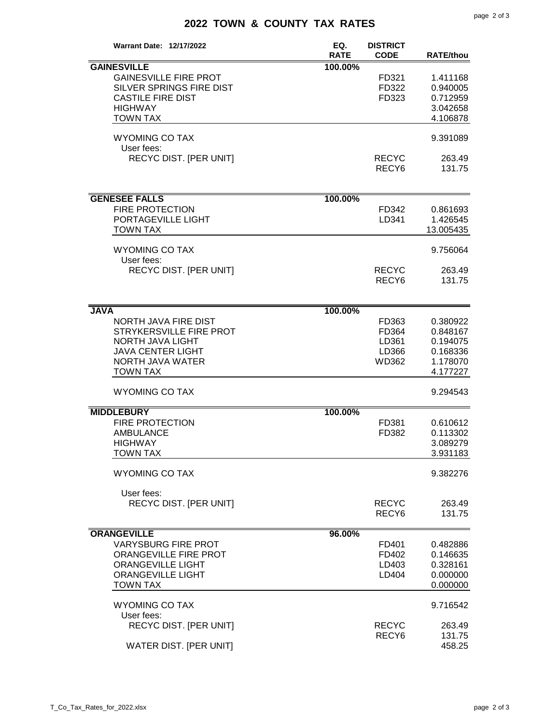## **2022 TOWN & COUNTY TAX RATES**

| <b>Warrant Date: 12/17/2022</b>                                                                                                               | EQ.<br><b>RATE</b> | <b>DISTRICT</b><br><b>CODE</b>            | <b>RATE/thou</b>                                                     |
|-----------------------------------------------------------------------------------------------------------------------------------------------|--------------------|-------------------------------------------|----------------------------------------------------------------------|
| <b>GAINESVILLE</b><br><b>GAINESVILLE FIRE PROT</b><br><b>SILVER SPRINGS FIRE DIST</b><br><b>CASTILE FIRE DIST</b><br><b>HIGHWAY</b>           | 100.00%            | FD321<br>FD322<br>FD323                   | 1.411168<br>0.940005<br>0.712959<br>3.042658                         |
| <b>TOWN TAX</b><br><b>WYOMING CO TAX</b>                                                                                                      |                    |                                           | 4.106878<br>9.391089                                                 |
| User fees:<br><b>RECYC DIST. [PER UNIT]</b>                                                                                                   |                    | <b>RECYC</b><br>RECY <sub>6</sub>         | 263.49<br>131.75                                                     |
| <b>GENESEE FALLS</b>                                                                                                                          | 100.00%            |                                           |                                                                      |
| <b>FIRE PROTECTION</b><br>PORTAGEVILLE LIGHT<br><b>TOWN TAX</b>                                                                               |                    | FD342<br>LD341                            | 0.861693<br>1.426545<br>13.005435                                    |
| <b>WYOMING CO TAX</b><br>User fees:                                                                                                           |                    |                                           | 9.756064                                                             |
| <b>RECYC DIST. [PER UNIT]</b>                                                                                                                 |                    | <b>RECYC</b><br>RECY <sub>6</sub>         | 263.49<br>131.75                                                     |
| <b>JAVA</b>                                                                                                                                   | 100.00%            |                                           |                                                                      |
| NORTH JAVA FIRE DIST<br>STRYKERSVILLE FIRE PROT<br><b>NORTH JAVA LIGHT</b><br><b>JAVA CENTER LIGHT</b><br>NORTH JAVA WATER<br><b>TOWN TAX</b> |                    | FD363<br>FD364<br>LD361<br>LD366<br>WD362 | 0.380922<br>0.848167<br>0.194075<br>0.168336<br>1.178070<br>4.177227 |
| <b>WYOMING CO TAX</b>                                                                                                                         |                    |                                           | 9.294543                                                             |
| <b>MIDDLEBURY</b>                                                                                                                             | 100.00%            |                                           |                                                                      |
| <b>FIRE PROTECTION</b><br><b>AMBULANCE</b><br><b>HIGHWAY</b><br>TOWN TAX                                                                      |                    | FD381<br>FD382                            | 0.610612<br>0.113302<br>3.089279<br>3.931183                         |
| <b>WYOMING CO TAX</b>                                                                                                                         |                    |                                           | 9.382276                                                             |
| User fees:<br><b>RECYC DIST. [PER UNIT]</b>                                                                                                   |                    | <b>RECYC</b><br>RECY <sub>6</sub>         | 263.49<br>131.75                                                     |
| <b>ORANGEVILLE</b>                                                                                                                            | 96.00%             |                                           |                                                                      |
| <b>VARYSBURG FIRE PROT</b><br><b>ORANGEVILLE FIRE PROT</b><br><b>ORANGEVILLE LIGHT</b><br><b>ORANGEVILLE LIGHT</b><br><b>TOWN TAX</b>         |                    | FD401<br>FD402<br>LD403<br>LD404          | 0.482886<br>0.146635<br>0.328161<br>0.000000<br>0.000000             |
| <b>WYOMING CO TAX</b><br>User fees:                                                                                                           |                    |                                           | 9.716542                                                             |
| RECYC DIST. [PER UNIT]<br>WATER DIST. [PER UNIT]                                                                                              |                    | <b>RECYC</b><br>RECY <sub>6</sub>         | 263.49<br>131.75<br>458.25                                           |